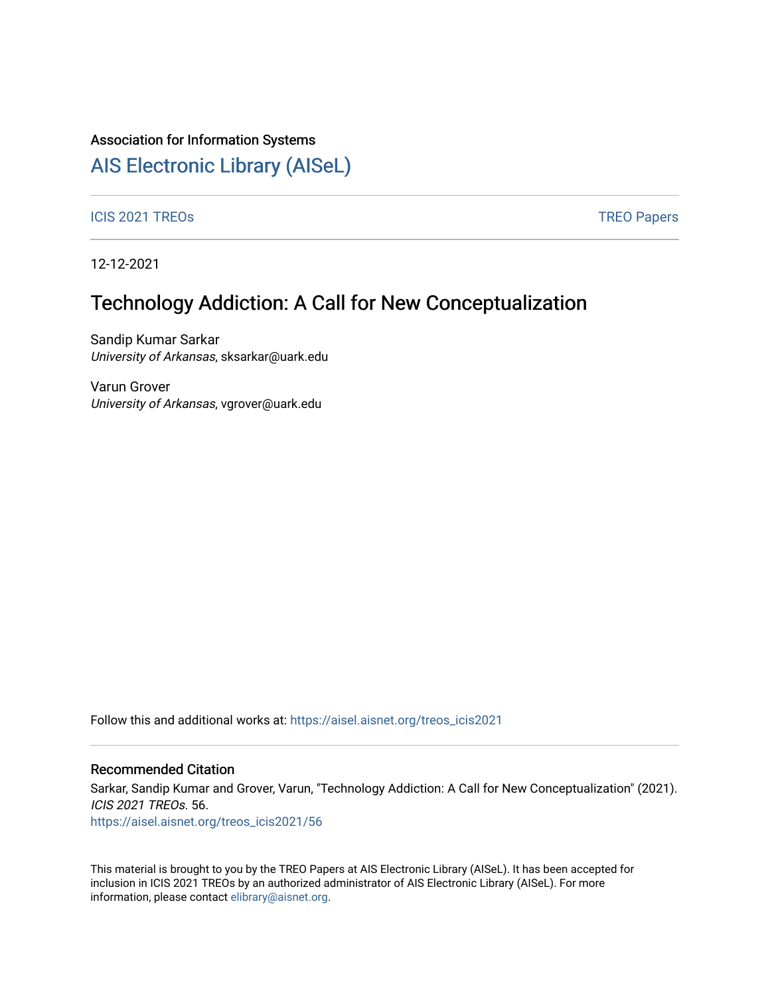### Association for Information Systems

# [AIS Electronic Library \(AISeL\)](https://aisel.aisnet.org/)

ICIS 2021 TREOS Notes and the contract of the contract of the contract of the contract of the contract of the contract of the contract of the contract of the contract of the contract of the contract of the contract of the

12-12-2021

## Technology Addiction: A Call for New Conceptualization

Sandip Kumar Sarkar University of Arkansas, sksarkar@uark.edu

Varun Grover University of Arkansas, vgrover@uark.edu

Follow this and additional works at: [https://aisel.aisnet.org/treos\\_icis2021](https://aisel.aisnet.org/treos_icis2021?utm_source=aisel.aisnet.org%2Ftreos_icis2021%2F56&utm_medium=PDF&utm_campaign=PDFCoverPages) 

#### Recommended Citation

Sarkar, Sandip Kumar and Grover, Varun, "Technology Addiction: A Call for New Conceptualization" (2021). ICIS 2021 TREOs. 56.

[https://aisel.aisnet.org/treos\\_icis2021/56](https://aisel.aisnet.org/treos_icis2021/56?utm_source=aisel.aisnet.org%2Ftreos_icis2021%2F56&utm_medium=PDF&utm_campaign=PDFCoverPages) 

This material is brought to you by the TREO Papers at AIS Electronic Library (AISeL). It has been accepted for inclusion in ICIS 2021 TREOs by an authorized administrator of AIS Electronic Library (AISeL). For more information, please contact [elibrary@aisnet.org.](mailto:elibrary@aisnet.org%3E)